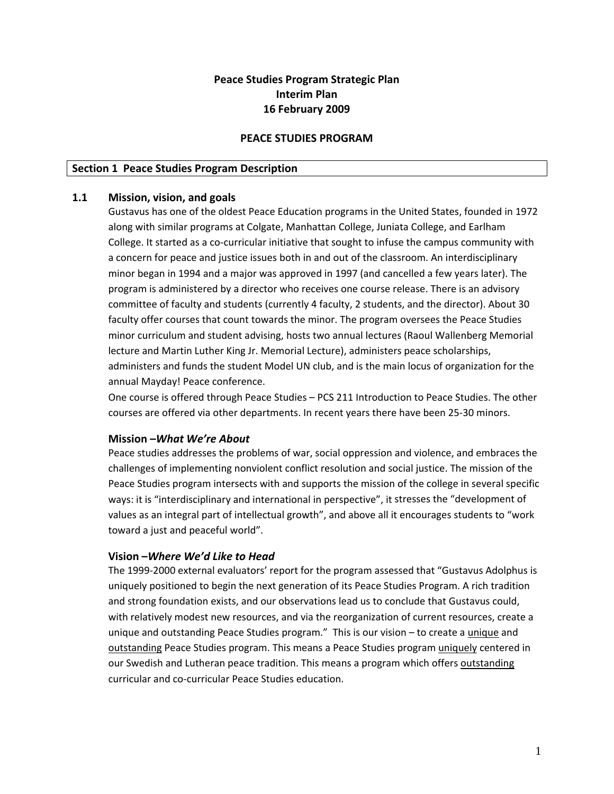## **Peace Studies Program Strategic Plan Interim Plan 16 February 2009**

#### **PEACE STUDIES PROGRAM**

#### **Section 1 Peace Studies Program Description**

#### **1.1 Mission, vision, and goals**

Gustavus has one of the oldest Peace Education programs in the United States, founded in 1972 along with similar programs at Colgate, Manhattan College, Juniata College, and Earlham College. It started as a co-curricular initiative that sought to infuse the campus community with a concern for peace and justice issues both in and out of the classroom. An interdisciplinary minor began in 1994 and a major was approved in 1997 (and cancelled a few years later). The program is administered by a director who receives one course release. There is an advisory committee of faculty and students (currently 4 faculty, 2 students, and the director). About 30 faculty offer courses that count towards the minor. The program oversees the Peace Studies minor curriculum and student advising, hosts two annual lectures (Raoul Wallenberg Memorial lecture and Martin Luther King Jr. Memorial Lecture), administers peace scholarships, administers and funds the student Model UN club, and is the main locus of organization for the annual Mayday! Peace conference.

One course is offered through Peace Studies – PCS 211 Introduction to Peace Studies. The other courses are offered via other departments. In recent years there have been 25‐30 minors.

#### **Mission –***What We're About*

Peace studies addresses the problems of war, social oppression and violence, and embraces the challenges of implementing nonviolent conflict resolution and social justice. The mission of the Peace Studies program intersects with and supports the mission of the college in several specific ways: it is "interdisciplinary and international in perspective", it stresses the "development of values as an integral part of intellectual growth", and above all it encourages students to "work toward a just and peaceful world".

#### **Vision –***Where We'd Like to Head*

The 1999-2000 external evaluators' report for the program assessed that "Gustavus Adolphus is uniquely positioned to begin the next generation of its Peace Studies Program. A rich tradition and strong foundation exists, and our observations lead us to conclude that Gustavus could, with relatively modest new resources, and via the reorganization of current resources, create a unique and outstanding Peace Studies program." This is our vision – to create a *unique* and outstanding Peace Studies program. This means a Peace Studies program uniquely centered in our Swedish and Lutheran peace tradition. This means a program which offers outstanding curricular and co‐curricular Peace Studies education.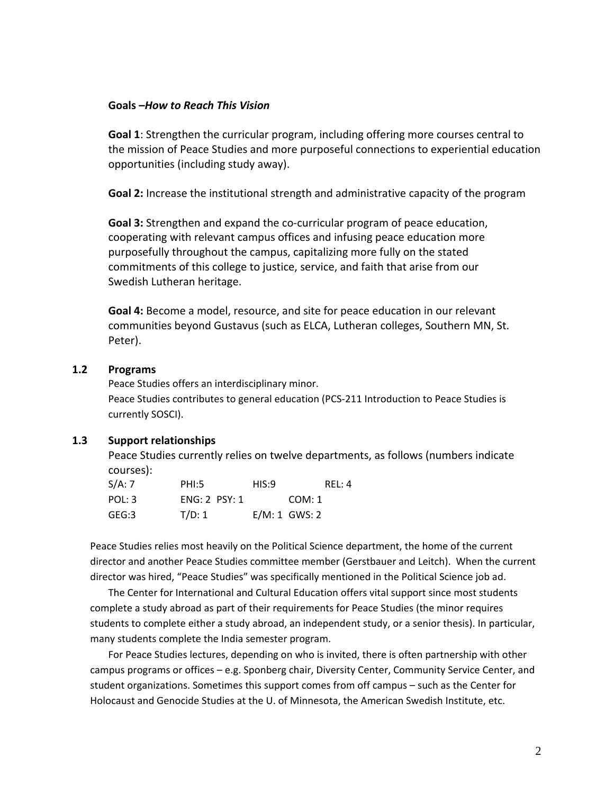### **Goals –***How to Reach This Vision*

**Goal 1**: Strengthen the curricular program, including offering more courses central to the mission of Peace Studies and more purposeful connections to experiential education opportunities (including study away).

**Goal 2:** Increase the institutional strength and administrative capacity of the program

**Goal 3:** Strengthen and expand the co-curricular program of peace education, cooperating with relevant campus offices and infusing peace education more purposefully throughout the campus, capitalizing more fully on the stated commitments of this college to justice, service, and faith that arise from our Swedish Lutheran heritage.

**Goal 4:** Become a model, resource, and site for peace education in our relevant communities beyond Gustavus (such as ELCA, Lutheran colleges, Southern MN, St. Peter).

### **1.2 Programs**

Peace Studies offers an interdisciplinary minor. Peace Studies contributes to general education (PCS‐211 Introduction to Peace Studies is currently SOSCI).

### **1.3 Support relationships**

Peace Studies currently relies on twelve departments, as follows (numbers indicate courses):

| S/A: 7 | PHI:5           | HIS:9 | RE: 4          |
|--------|-----------------|-------|----------------|
| POL: 3 | $ENG: 2$ PSY: 1 |       | COM: 1         |
| GEG:3  | T/D: 1          |       | $E/M:1$ GWS: 2 |

Peace Studies relies most heavily on the Political Science department, the home of the current director and another Peace Studies committee member (Gerstbauer and Leitch). When the current director was hired, "Peace Studies" was specifically mentioned in the Political Science job ad.

The Center for International and Cultural Education offers vital support since most students complete a study abroad as part of their requirements for Peace Studies (the minor requires students to complete either a study abroad, an independent study, or a senior thesis). In particular, many students complete the India semester program.

For Peace Studies lectures, depending on who is invited, there is often partnership with other campus programs or offices – e.g. Sponberg chair, Diversity Center, Community Service Center, and student organizations. Sometimes this support comes from off campus – such as the Center for Holocaust and Genocide Studies at the U. of Minnesota, the American Swedish Institute, etc.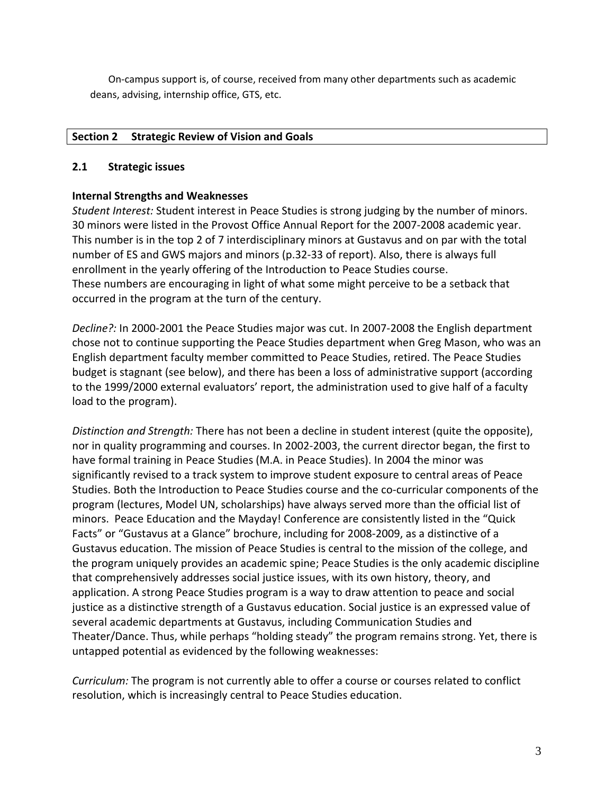On‐campus support is, of course, received from many other departments such as academic deans, advising, internship office, GTS, etc.

### **Section 2 Strategic Review of Vision and Goals**

## **2.1 Strategic issues**

## **Internal Strengths and Weaknesses**

*Student Interest:* Student interest in Peace Studies is strong judging by the number of minors. 30 minors were listed in the Provost Office Annual Report for the 2007‐2008 academic year. This number is in the top 2 of 7 interdisciplinary minors at Gustavus and on par with the total number of ES and GWS majors and minors (p.32‐33 of report). Also, there is always full enrollment in the yearly offering of the Introduction to Peace Studies course. These numbers are encouraging in light of what some might perceive to be a setback that occurred in the program at the turn of the century.

*Decline?:* In 2000-2001 the Peace Studies major was cut. In 2007-2008 the English department chose not to continue supporting the Peace Studies department when Greg Mason, who was an English department faculty member committed to Peace Studies, retired. The Peace Studies budget is stagnant (see below), and there has been a loss of administrative support (according to the 1999/2000 external evaluators' report, the administration used to give half of a faculty load to the program).

*Distinction and Strength:* There has not been a decline in student interest (quite the opposite), nor in quality programming and courses. In 2002‐2003, the current director began, the first to have formal training in Peace Studies (M.A. in Peace Studies). In 2004 the minor was significantly revised to a track system to improve student exposure to central areas of Peace Studies. Both the Introduction to Peace Studies course and the co-curricular components of the program (lectures, Model UN, scholarships) have always served more than the official list of minors. Peace Education and the Mayday! Conference are consistently listed in the "Quick Facts" or "Gustavus at a Glance" brochure, including for 2008‐2009, as a distinctive of a Gustavus education. The mission of Peace Studies is central to the mission of the college, and the program uniquely provides an academic spine; Peace Studies is the only academic discipline that comprehensively addresses social justice issues, with its own history, theory, and application. A strong Peace Studies program is a way to draw attention to peace and social justice as a distinctive strength of a Gustavus education. Social justice is an expressed value of several academic departments at Gustavus, including Communication Studies and Theater/Dance. Thus, while perhaps "holding steady" the program remains strong. Yet, there is untapped potential as evidenced by the following weaknesses:

*Curriculum:* The program is not currently able to offer a course or courses related to conflict resolution, which is increasingly central to Peace Studies education.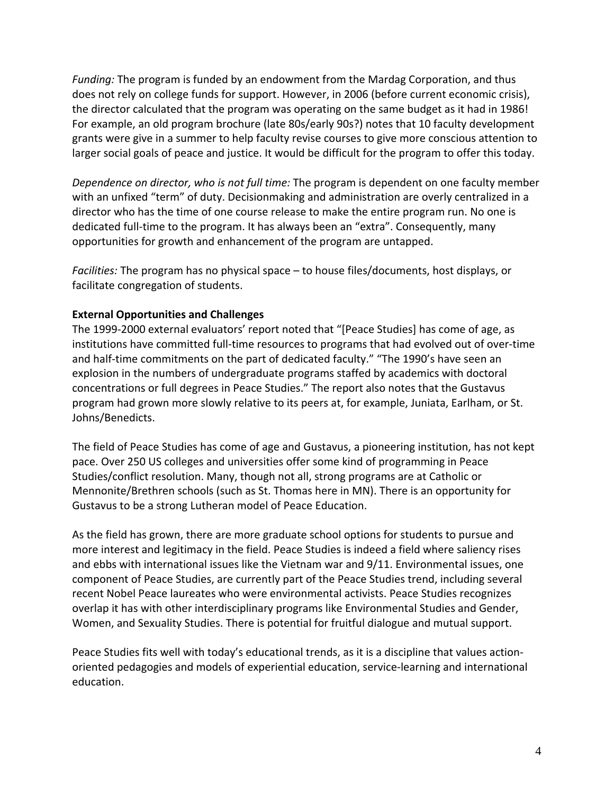*Funding:* The program is funded by an endowment from the Mardag Corporation, and thus does not rely on college funds for support. However, in 2006 (before current economic crisis), the director calculated that the program was operating on the same budget as it had in 1986! For example, an old program brochure (late 80s/early 90s?) notes that 10 faculty development grants were give in a summer to help faculty revise courses to give more conscious attention to larger social goals of peace and justice. It would be difficult for the program to offer this today.

*Dependence on director, who is not full time:* The program is dependent on one faculty member with an unfixed "term" of duty. Decisionmaking and administration are overly centralized in a director who has the time of one course release to make the entire program run. No one is dedicated full‐time to the program. It has always been an "extra". Consequently, many opportunities for growth and enhancement of the program are untapped.

*Facilities:* The program has no physical space – to house files/documents, host displays, or facilitate congregation of students.

# **External Opportunities and Challenges**

The 1999‐2000 external evaluators' report noted that "[Peace Studies] has come of age, as institutions have committed full-time resources to programs that had evolved out of over-time and half-time commitments on the part of dedicated faculty." "The 1990's have seen an explosion in the numbers of undergraduate programs staffed by academics with doctoral concentrations or full degrees in Peace Studies." The report also notes that the Gustavus program had grown more slowly relative to its peers at, for example, Juniata, Earlham, or St. Johns/Benedicts.

The field of Peace Studies has come of age and Gustavus, a pioneering institution, has not kept pace. Over 250 US colleges and universities offer some kind of programming in Peace Studies/conflict resolution. Many, though not all, strong programs are at Catholic or Mennonite/Brethren schools (such as St. Thomas here in MN). There is an opportunity for Gustavus to be a strong Lutheran model of Peace Education.

As the field has grown, there are more graduate school options for students to pursue and more interest and legitimacy in the field. Peace Studies is indeed a field where saliency rises and ebbs with international issues like the Vietnam war and 9/11. Environmental issues, one component of Peace Studies, are currently part of the Peace Studies trend, including several recent Nobel Peace laureates who were environmental activists. Peace Studies recognizes overlap it has with other interdisciplinary programs like Environmental Studies and Gender, Women, and Sexuality Studies. There is potential for fruitful dialogue and mutual support.

Peace Studies fits well with today's educational trends, as it is a discipline that values action‐ oriented pedagogies and models of experiential education, service‐learning and international education.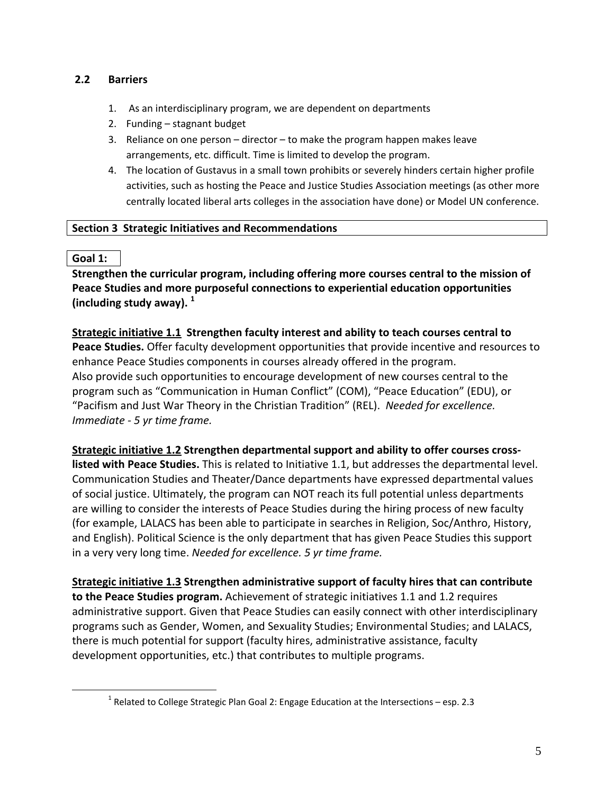# **2.2 Barriers**

- 1. As an interdisciplinary program, we are dependent on departments
- 2. Funding stagnant budget
- 3. Reliance on one person director to make the program happen makes leave arrangements, etc. difficult. Time is limited to develop the program.
- 4. The location of Gustavus in a small town prohibits or severely hinders certain higher profile activities, such as hosting the Peace and Justice Studies Association meetings (as other more centrally located liberal arts colleges in the association have done) or Model UN conference.

## **Section 3 Strategic Initiatives and Recommendations**

## **Goal 1:**

 $\overline{a}$ 

**Strengthen the curricular program, including offering more courses central to the mission of Peace Studies and more purposeful connections to experiential education opportunities (including study away). <sup>1</sup>**

**Strategic initiative 1.1 Strengthen faculty interest and ability to teach courses central to Peace Studies.** Offer faculty development opportunities that provide incentive and resources to enhance Peace Studies components in courses already offered in the program. Also provide such opportunities to encourage development of new courses central to the program such as "Communication in Human Conflict" (COM), "Peace Education" (EDU), or "Pacifism and Just War Theory in the Christian Tradition" (REL). *Needed for excellence. Immediate ‐ 5 yr time frame.*

**Strategic initiative 1.2 Strengthen departmental support and ability to offer courses cross‐ listed with Peace Studies.** This is related to Initiative 1.1, but addresses the departmental level. Communication Studies and Theater/Dance departments have expressed departmental values of social justice. Ultimately, the program can NOT reach its full potential unless departments are willing to consider the interests of Peace Studies during the hiring process of new faculty (for example, LALACS has been able to participate in searches in Religion, Soc/Anthro, History, and English). Political Science is the only department that has given Peace Studies this support in a very very long time. *Needed for excellence. 5 yr time frame.*

**Strategic initiative 1.3 Strengthen administrative support of faculty hires that can contribute to the Peace Studies program.** Achievement of strategic initiatives 1.1 and 1.2 requires administrative support. Given that Peace Studies can easily connect with other interdisciplinary programs such as Gender, Women, and Sexuality Studies; Environmental Studies; and LALACS, there is much potential for support (faculty hires, administrative assistance, faculty development opportunities, etc.) that contributes to multiple programs.

<sup>&</sup>lt;sup>1</sup> Related to College Strategic Plan Goal 2: Engage Education at the Intersections – esp. 2.3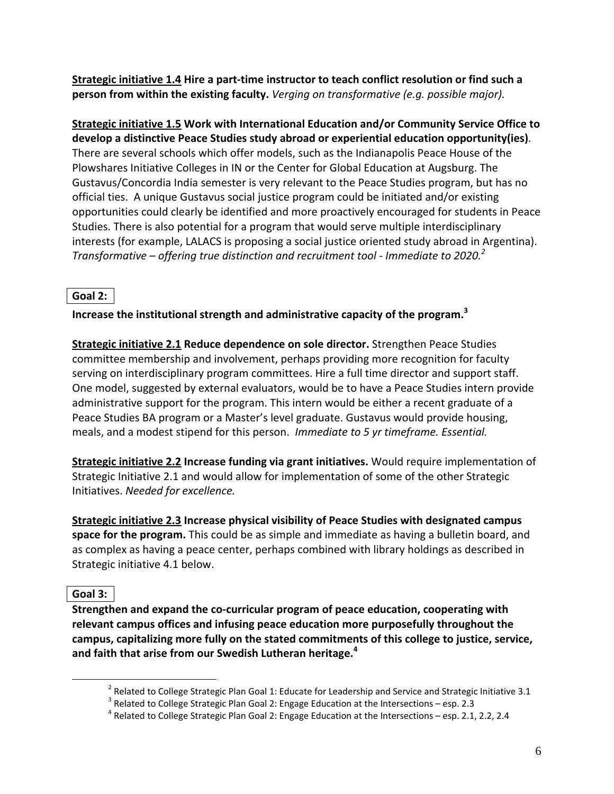**Strategic initiative 1.4 Hire a part‐time instructor to teach conflict resolution or find such a person from within the existing faculty.** *Verging on transformative (e.g. possible major).* 

**Strategic initiative 1.5 Work with International Education and/or Community Service Office to develop a distinctive Peace Studies study abroad or experiential education opportunity(ies)**. There are several schools which offer models, such as the Indianapolis Peace House of the Plowshares Initiative Colleges in IN or the Center for Global Education at Augsburg. The Gustavus/Concordia India semester is very relevant to the Peace Studies program, but has no official ties. A unique Gustavus social justice program could be initiated and/or existing opportunities could clearly be identified and more proactively encouraged for students in Peace Studies. There is also potential for a program that would serve multiple interdisciplinary interests (for example, LALACS is proposing a social justice oriented study abroad in Argentina). *Transformative – offering true distinction and recruitment tool ‐ Immediate to 2020.<sup>2</sup>*

# **Goal 2:**

**Increase the institutional strength and administrative capacity of the program.3**

**Strategic initiative 2.1 Reduce dependence on sole director.** Strengthen Peace Studies committee membership and involvement, perhaps providing more recognition for faculty serving on interdisciplinary program committees. Hire a full time director and support staff. One model, suggested by external evaluators, would be to have a Peace Studies intern provide administrative support for the program. This intern would be either a recent graduate of a Peace Studies BA program or a Master's level graduate. Gustavus would provide housing, meals, and a modest stipend for this person. *Immediate to 5 yr timeframe. Essential.* 

**Strategic initiative 2.2 Increase funding via grant initiatives.** Would require implementation of Strategic Initiative 2.1 and would allow for implementation of some of the other Strategic Initiatives. *Needed for excellence.*

**Strategic initiative 2.3 Increase physical visibility of Peace Studies with designated campus space for the program.** This could be as simple and immediate as having a bulletin board, and as complex as having a peace center, perhaps combined with library holdings as described in Strategic initiative 4.1 below.

# **Goal 3:**

 $\overline{a}$ 

**Strengthen and expand the co‐curricular program of peace education, cooperating with relevant campus offices and infusing peace education more purposefully throughout the campus, capitalizing more fully on the stated commitments of this college to justice, service, and faith that arise from our Swedish Lutheran heritage.<sup>4</sup>** 

<sup>&</sup>lt;sup>2</sup> Related to College Strategic Plan Goal 1: Educate for Leadership and Service and Strategic Initiative 3.1<br><sup>3</sup> Related to College Strategic Plan Goal 2: Engage Education at the Intersections – esp. 2.3<br><sup>4</sup> Related to C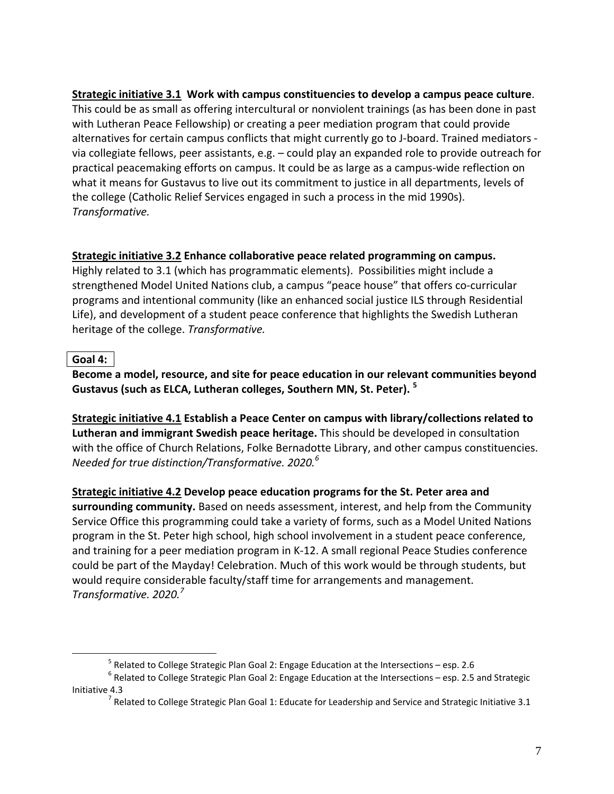**Strategic initiative 3.1 Work with campus constituencies to develop a campus peace culture**. This could be as small as offering intercultural or nonviolent trainings (as has been done in past with Lutheran Peace Fellowship) or creating a peer mediation program that could provide alternatives for certain campus conflicts that might currently go to J-board. Trained mediators via collegiate fellows, peer assistants, e.g. – could play an expanded role to provide outreach for practical peacemaking efforts on campus. It could be as large as a campus‐wide reflection on what it means for Gustavus to live out its commitment to justice in all departments, levels of the college (Catholic Relief Services engaged in such a process in the mid 1990s). *Transformative.* 

# **Strategic initiative 3.2 Enhance collaborative peace related programming on campus.**

Highly related to 3.1 (which has programmatic elements). Possibilities might include a strengthened Model United Nations club, a campus "peace house" that offers co-curricular programs and intentional community (like an enhanced social justice ILS through Residential Life), and development of a student peace conference that highlights the Swedish Lutheran heritage of the college. *Transformative.*

# **Goal 4:**

1

**Become a model, resource, and site for peace education in our relevant communities beyond Gustavus (such as ELCA, Lutheran colleges, Southern MN, St. Peter). <sup>5</sup>**

**Strategic initiative 4.1 Establish a Peace Center on campus with library/collections related to Lutheran and immigrant Swedish peace heritage.** This should be developed in consultation with the office of Church Relations, Folke Bernadotte Library, and other campus constituencies. *Needed for true distinction/Transformative. 2020.<sup>6</sup>*

**Strategic initiative 4.2 Develop peace education programs for the St. Peter area and surrounding community.** Based on needs assessment, interest, and help from the Community Service Office this programming could take a variety of forms, such as a Model United Nations program in the St. Peter high school, high school involvement in a student peace conference, and training for a peer mediation program in K‐12. A small regional Peace Studies conference could be part of the Mayday! Celebration. Much of this work would be through students, but would require considerable faculty/staff time for arrangements and management. *Transformative. 2020.<sup>7</sup>*

<sup>&</sup>lt;sup>5</sup> Related to College Strategic Plan Goal 2: Engage Education at the Intersections – esp. 2.6<br><sup>6</sup> Related to College Strategic Plan Goal 2: Engage Education at the Intersections – esp. 2.5 and Strategic Initiative 4.3

<sup>&</sup>lt;sup>7</sup> Related to College Strategic Plan Goal 1: Educate for Leadership and Service and Strategic Initiative 3.1